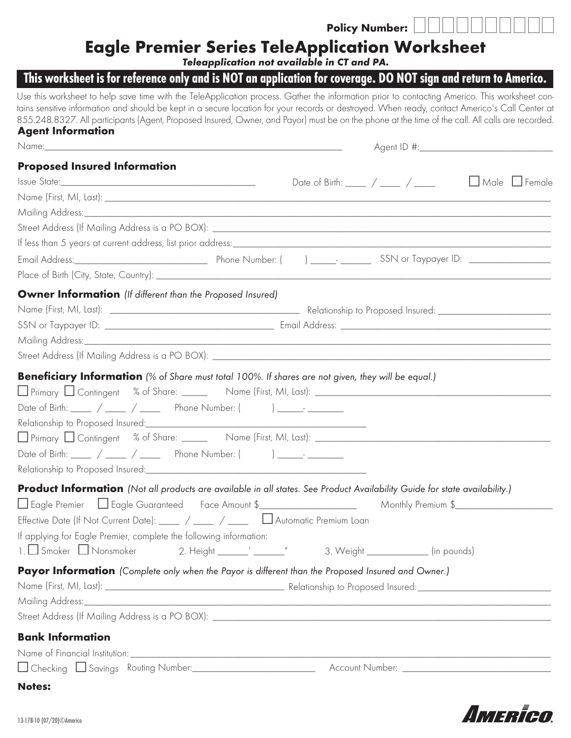## Policy Number:

# Eagle Premier Series TeleApplication Worksheet

*Teleapplication not available in CT and PA.*

# This worksheet is for reference only and is NOT an application for coverage. DO NOT sign and return to Americo.

Use this worksheet to help save time with the TeleApplication process. Gather the information prior to contacting Americo. This worksheet contains sensitive information and should be kept in a secure location for your records or destroyed. When ready, contact Americo's Call Center at 855.248.8327. All participants (Agent, Proposed Insured, Owner, and Payor) must be on the phone at the time of the call. All calls are recorded. Agent Information

| <b>Proposed Insured Information</b>                                                                                                                                                                                                                                                                                                                                                                              | Date of Birth: $\frac{1}{\sqrt{2\pi}}$ / $\frac{1}{\sqrt{2\pi}}$ Male $\frac{1}{\sqrt{2\pi}}$ Female |                                     |  |
|------------------------------------------------------------------------------------------------------------------------------------------------------------------------------------------------------------------------------------------------------------------------------------------------------------------------------------------------------------------------------------------------------------------|------------------------------------------------------------------------------------------------------|-------------------------------------|--|
|                                                                                                                                                                                                                                                                                                                                                                                                                  |                                                                                                      |                                     |  |
| <b>Owner Information</b> (If different than the Proposed Insured)                                                                                                                                                                                                                                                                                                                                                |                                                                                                      |                                     |  |
| <b>Beneficiary Information</b> (% of Share must total 100%. If shares are not given, they will be equal.)<br>Date of Birth: _____ / ____ / ____ Phone Number: ( ) _____- _______<br>∐ Primary ∐ Contingent % of Share: _______ Name (First, MI, Last): ________________________________<br>Date of Birth: ____ / ____ / ____ Phone Number: ( ) _____ _ _____                                                     |                                                                                                      |                                     |  |
| <b>Product Information</b> (Not all products are available in all states. See Product Availability Guide for state availability.)<br>□ Eagle Premier □ Eagle Guaranteed Face Amount \$________________________________ Monthly Premium \$____________<br>Effective Date (If Not Current Date): ____ / ____ / ____ D Automatic Premium Loan<br>If applying for Eagle Premier, complete the following information: |                                                                                                      | 3. Weight _____________ (in pounds) |  |
| Payor Information (Complete only when the Payor is different than the Proposed Insured and Owner.)                                                                                                                                                                                                                                                                                                               |                                                                                                      |                                     |  |
| <b>Bank Information</b><br>Name of Financial Institution: 1999 March 2014 March 2014 March 2014 March 2014 March 2014 March 2014 March 20<br>Notes:                                                                                                                                                                                                                                                              |                                                                                                      |                                     |  |